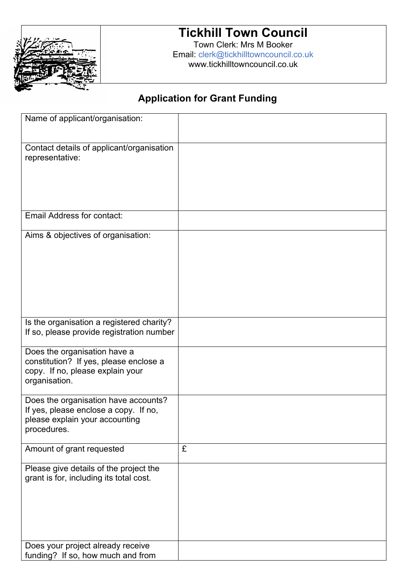

## **Tickhill Town Council**

Town Clerk: Mrs M Booker Email: clerk@tickhilltowncouncil.co.uk www.tickhilltowncouncil.co.uk

## **Application for Grant Funding**

| Name of applicant/organisation:                                                                                                |   |
|--------------------------------------------------------------------------------------------------------------------------------|---|
| Contact details of applicant/organisation<br>representative:                                                                   |   |
| <b>Email Address for contact:</b>                                                                                              |   |
| Aims & objectives of organisation:                                                                                             |   |
| Is the organisation a registered charity?<br>If so, please provide registration number                                         |   |
| Does the organisation have a<br>constitution? If yes, please enclose a<br>copy. If no, please explain your<br>organisation.    |   |
| Does the organisation have accounts?<br>If yes, please enclose a copy. If no,<br>please explain your accounting<br>procedures. |   |
| Amount of grant requested                                                                                                      | £ |
| Please give details of the project the<br>grant is for, including its total cost.                                              |   |
| Does your project already receive<br>funding? If so, how much and from                                                         |   |